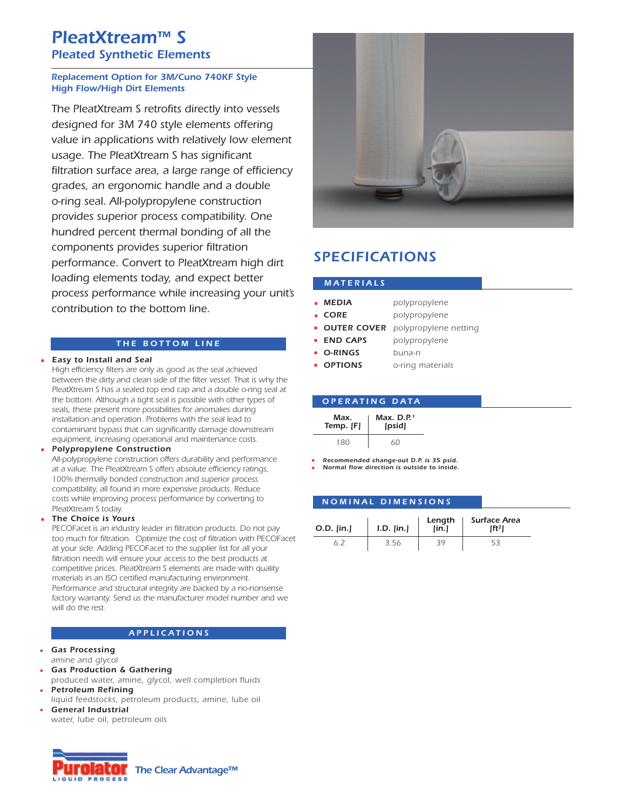# *PleatXtream™ S Pleated Synthetic Elements*

# *Replacement Option for 3M/Cuno 740KF Style High Flow/High Dirt Elements*

*The PleatXtream S retrofits directly into vessels designed for 3M 740 style elements offering value in applications with relatively low element usage. The PleatXtream S has significant filtration surface area, a large range of efficiency grades, an ergonomic handle and a double o-ring seal. All-polypropylene construction provides superior process compatibility. One hundred percent thermal bonding of all the components provides superior filtration performance. Convert to PleatXtream high dirt loading elements today, and expect better process performance while increasing your unit's contribution to the bottom line.*

# *T H E B O T T O M L I N E*

*• Easy to Install and Seal*

*High efficiency filters are only as good as the seal achieved between the dirty and clean side of the filter vessel. That is why the PleatXtream S has a sealed top end cap and a double o-ring seal at the bottom. Although a tight seal is possible with other types of seals, these present more possibilities for anomalies during installation and operation. Problems with the seal lead to contaminant bypass that can significantly damage downstream equipment, increasing operational and maintenance costs.*

### *• Polypropylene Construction*

*All-polypropylene construction offers durability and performance at a value. The PleatXtream S offers absolute efficiency ratings, 100% thermally bonded construction and superior process compatibility, all found in more expensive products. Reduce costs while improving process performance by converting to PleatXtream S today.*

### *• The Choice is Yours*

*PECOFacet is an industry leader in filtration products. Do not pay too much for filtration. Optimize the cost of filtration with PECOFacet at your side. Adding PECOFacet to the supplier list for all your filtration needs will ensure your access to the best products at competitive prices. PleatXtream S elements are made with quality materials in an ISO certified manufacturing environment. Performance and structural integrity are backed by a no-nonsense factory warranty. Send us the manufacturer model number and we will do the rest.*

### *A P P L I C A T I O N S*

- *• Gas Processing amine and glycol*
- *• Gas Production & Gathering*
- *produced water, amine, glycol, well completion fluids*
- *• Petroleum Refining liquid feedstocks, petroleum products, amine, lube oil*
- *• General Industrial water, lube oil, petroleum oils*





# *SPECIFICATIONS*

### *M A T E R I A L S*

| <b>MEDIA</b><br>٠ | polypropylene |
|-------------------|---------------|
|                   |               |

- *• CORE polypropylene*
- *OUTER COVER polypropylene netting*
- *END CAPS polypropylene*
- *O-RINGS buna-n*
- *OPTIONS o-ring materials*

|                   | <b>OPERATING DATA</b>              |  |
|-------------------|------------------------------------|--|
| Max.<br>Temp. [F] | Max. $D.P.$ <sup>1</sup><br>[psid] |  |
| 180               | 60                                 |  |

*• Recommended change-out D.P. is 35 psid. • Normal flow direction is outside to inside.*

### *N O M I N A L D I M E N S I O N S*

| $O.D.$ [in.] | $I.D.$ [in.] | Length<br>[lin.] | <b>Surface Area</b><br>$[ft^2]$ |
|--------------|--------------|------------------|---------------------------------|
|              | 3.56         |                  |                                 |